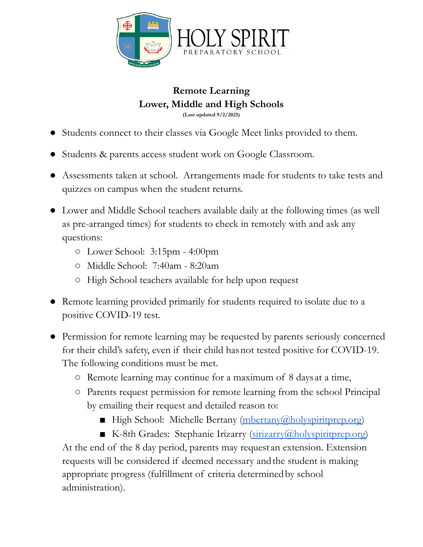

**Remote Learning Lower, Middle and High Schools (Last updated 9/2/2021)**

- Students connect to their classes via Google Meet links provided to them.
- Students & parents access student work on Google Classroom.
- Assessments taken at school. Arrangements made for students to take tests and quizzes on campus when the student returns.
- Lower and Middle School teachers available daily at the following times (as well as pre-arranged times) for students to check in remotely with and ask any questions:
	- Lower School: 3:15pm 4:00pm
	- Middle School: 7:40am 8:20am
	- High School teachers available for help upon request
- Remote learning provided primarily for students required to isolate due to a positive COVID-19 test.
- Permission for remote learning may be requested by parents seriously concerned for their child's safety, even if their child hasnot tested positive for COVID-19. The following conditions must be met.
	- Remote learning may continue for a maximum of 8 days at a time,
	- Parents request permission for remote learning from the school Principal by emailing their request and detailed reason to:
		- High School: Michelle Bertany [\(mbertany@holyspiritprep.org](mailto:mbertany@holyspiritprep.org))
		- K-8th Grades: Stephanie Irizarry [\(sirizarry@holyspiritprep.org\)](mailto:sirizarry@holyspiritprep.org)

At the end of the 8 day period, parents may request an extension. Extension requests will be considered if deemed necessary and the student is making appropriate progress (fulfillment of criteria determinedby school administration).